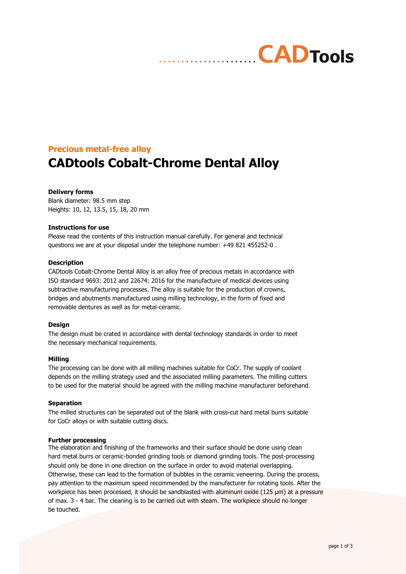# **Precious metal-free alloy**

# **CADtools Cobalt-Chrome Dental Alloy**

## **Delivery forms**

Blank diameter: 98.5 mm step Heights: 10, 12, 13.5, 15, 18, 20 mm

## **Instructions for use**

Please read the contents of this instruction manual carefully. For general and technical questions we are at your disposal under the telephone number: +49 821 455252-0 .

#### **Description**

CADtools Cobalt-Chrome Dental Alloy is an alloy free of precious metals in accordance with ISO standard 9693: 2012 and 22674: 2016 for the manufacture of medical devices using subtractive manufacturing processes. The alloy is suitable for the production of crowns, bridges and abutments manufactured using milling technology, in the form of fixed and removable dentures as well as for metal-ceramic.

## **Design**

The design must be crated in accordance with dental technology standards in order to meet the necessary mechanical requirements.

## **Milling**

The processing can be done with all milling machines suitable for CoCr. The supply of coolant depends on the milling strategy used and the associated milling parameters. The milling cutters to be used for the material should be agreed with the milling machine manufacturer beforehand.

#### **Separation**

The milled structures can be separated out of the blank with cross-cut hard metal burrs suitable for CoCr alloys or with suitable cutting discs.

## **Further processing**

The elaboration and finishing of the frameworks and their surface should be done using clean hard metal burrs or ceramic-bonded grinding tools or diamond grinding tools. The post-processing should only be done in one direction on the surface in order to avoid material overlapping. Otherwise, these can lead to the formation of bubbles in the ceramic veneering. During the process, pay attention to the maximum speed recommended by the manufacturer for rotating tools. After the workpiece has been processed, it should be sandblasted with aluminum oxide (125 μm) at a pressure of max. 3 - 4 bar. The cleaning is to be carried out with steam. The workpiece should no longer be touched.

**CADTools**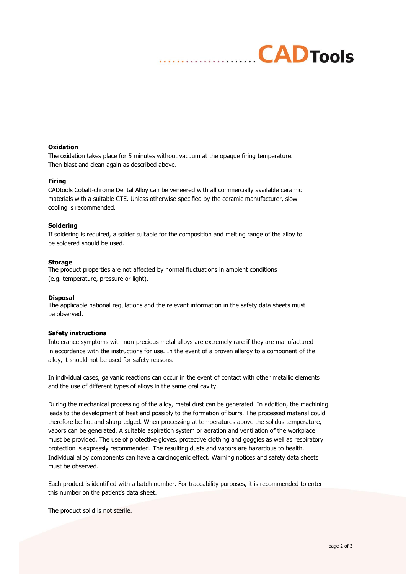# **Oxidation**

The oxidation takes place for 5 minutes without vacuum at the opaque firing temperature. Then blast and clean again as described above.

## **Firing**

CADtools Cobalt-chrome Dental Alloy can be veneered with all commercially available ceramic materials with a suitable CTE. Unless otherwise specified by the ceramic manufacturer, slow cooling is recommended.

#### **Soldering**

If soldering is required, a solder suitable for the composition and melting range of the alloy to be soldered should be used.

#### **Storage**

The product properties are not affected by normal fluctuations in ambient conditions (e.g. temperature, pressure or light).

#### **Disposal**

The applicable national regulations and the relevant information in the safety data sheets must be observed.

## **Safety instructions**

Intolerance symptoms with non-precious metal alloys are extremely rare if they are manufactured in accordance with the instructions for use. In the event of a proven allergy to a component of the alloy, it should not be used for safety reasons.

In individual cases, galvanic reactions can occur in the event of contact with other metallic elements and the use of different types of alloys in the same oral cavity.

During the mechanical processing of the alloy, metal dust can be generated. In addition, the machining leads to the development of heat and possibly to the formation of burrs. The processed material could therefore be hot and sharp-edged. When processing at temperatures above the solidus temperature, vapors can be generated. A suitable aspiration system or aeration and ventilation of the workplace must be provided. The use of protective gloves, protective clothing and goggles as well as respiratory protection is expressly recommended. The resulting dusts and vapors are hazardous to health. Individual alloy components can have a carcinogenic effect. Warning notices and safety data sheets must be observed.

Each product is identified with a batch number. For traceability purposes, it is recommended to enter this number on the patient's data sheet.

The product solid is not sterile.

**CADTools**